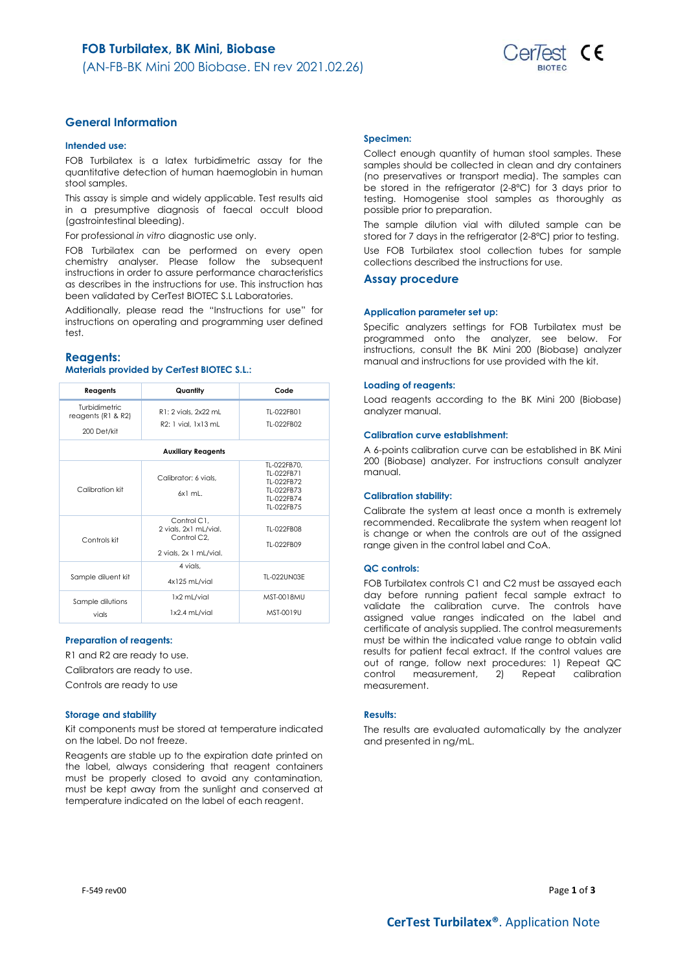

### **General Information**

### **Intended use:**

FOB Turbilatex is a latex turbidimetric assay for the quantitative detection of human haemoglobin in human stool samples.

This assay is simple and widely applicable. Test results aid in a presumptive diagnosis of faecal occult blood (gastrointestinal bleeding).

For professional *in vitro* diagnostic use only.

FOB Turbilatex can be performed on every open chemistry analyser. Please follow the subsequent instructions in order to assure performance characteristics as describes in the instructions for use. This instruction has been validated by CerTest BIOTEC S.L Laboratories.

Additionally, please read the "Instructions for use" for instructions on operating and programming user defined test.

### **Reagents:**

### **Materials provided by CerTest BIOTEC S.L.:**

| Reagents                                                        | Quantity                                                                                   | Code                                                                              |
|-----------------------------------------------------------------|--------------------------------------------------------------------------------------------|-----------------------------------------------------------------------------------|
| <b>Turbidimetric</b><br>reagents ( $R1$ & $R2$ )<br>200 Det/kit | R1: 2 vials, 2x22 mL<br>R2: 1 vial. 1x13 mL                                                | TI-022FB01<br>TI-022FB02                                                          |
|                                                                 | <b>Auxiliary Reagents</b>                                                                  |                                                                                   |
| Calibration kit                                                 | Calibrator: 6 vials.<br>$6x1$ ml.                                                          | TL-022FB70,<br>TI-022FB71<br>TI-022FB72<br>TI-022FB73<br>TI-022FB74<br>TI-022FB75 |
| Controls kit                                                    | Control C1.<br>2 vials, 2x1 mL/vial.<br>Control C <sub>2</sub> .<br>2 vials, 2x 1 mL/vial. | TI-022FB08<br>TI-022FB09                                                          |
| Sample diluent kit                                              | 4 vials.<br>4x125 mL/vial                                                                  | TI-022UN03F                                                                       |
| Sample dilutions<br>vials                                       | 1x2 mL/vial<br>1x2.4 mL/vial                                                               | <b>MST-0018MU</b><br>MST-0019U                                                    |

### **Preparation of reagents:**

R1 and R2 are ready to use.

Calibrators are ready to use.

Controls are ready to use

### **Storage and stability**

Kit components must be stored at temperature indicated on the label. Do not freeze.

Reagents are stable up to the expiration date printed on the label, always considering that reagent containers must be properly closed to avoid any contamination, must be kept away from the sunlight and conserved at temperature indicated on the label of each reagent.

### **Specimen:**

Collect enough quantity of human stool samples. These samples should be collected in clean and dry containers (no preservatives or transport media). The samples can be stored in the refrigerator (2-8ºC) for 3 days prior to testing. Homogenise stool samples as thoroughly as possible prior to preparation.

The sample dilution vial with diluted sample can be stored for 7 days in the refrigerator (2-8°C) prior to testing. Use FOB Turbilatex stool collection tubes for sample

collections described the instructions for use.

### **Assay procedure**

#### **Application parameter set up:**

Specific analyzers settings for FOB Turbilatex must be programmed onto the analyzer, see below. For instructions, consult the BK Mini 200 (Biobase) analyzer manual and instructions for use provided with the kit.

#### **Loading of reagents:**

Load reagents according to the BK Mini 200 (Biobase) analyzer manual.

### **Calibration curve establishment:**

A 6-points calibration curve can be established in BK Mini 200 (Biobase) analyzer. For instructions consult analyzer manual.

#### **Calibration stability:**

Calibrate the system at least once a month is extremely recommended. Recalibrate the system when reagent lot is change or when the controls are out of the assigned range given in the control label and CoA.

#### **QC controls:**

FOB Turbilatex controls C1 and C2 must be assayed each day before running patient fecal sample extract to validate the calibration curve. The controls have assigned value ranges indicated on the label and certificate of analysis supplied. The control measurements must be within the indicated value range to obtain valid results for patient fecal extract. If the control values are out of range, follow next procedures: 1) Repeat QC control measurement, 2) Repeat calibration measurement.

#### **Results:**

The results are evaluated automatically by the analyzer and presented in ng/mL.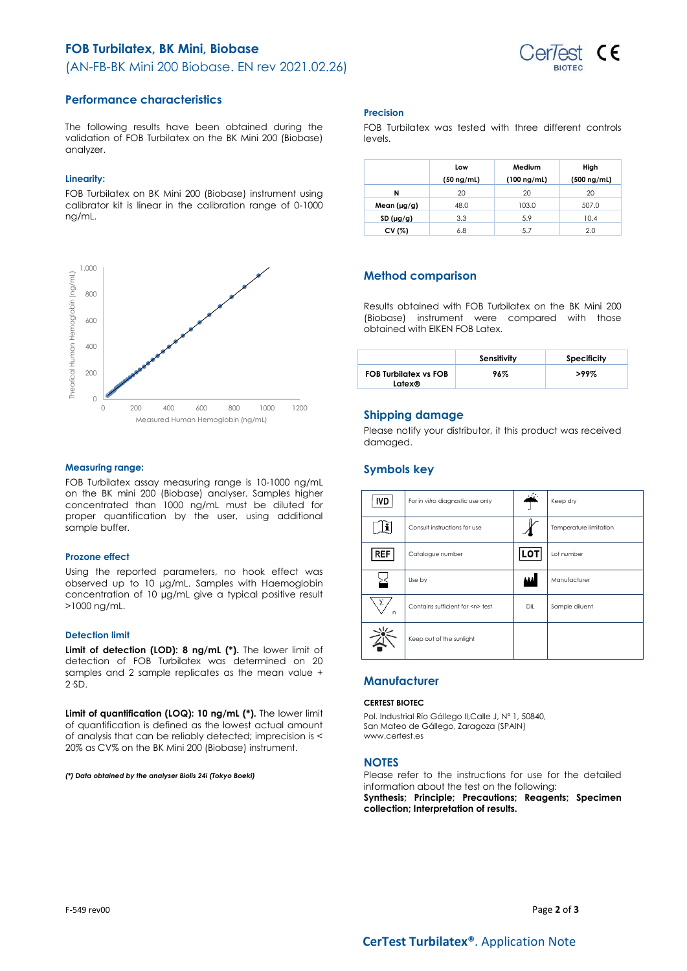# **FOB Turbilatex, BK Mini, Biobase** (AN-FB-BK Mini 200 Biobase. EN rev 2021.02.26)



### **Performance characteristics**

The following results have been obtained during the validation of FOB Turbilatex on the BK Mini 200 (Biobase) analyzer.

### **Linearity:**

FOB Turbilatex on BK Mini 200 (Biobase) instrument using calibrator kit is linear in the calibration range of 0-1000 ng/mL.



### **Measuring range:**

FOB Turbilatex assay measuring range is 10-1000 ng/mL on the BK mini 200 (Biobase) analyser. Samples higher concentrated than 1000 ng/mL must be diluted for proper quantification by the user, using additional sample buffer.

### **Prozone effect**

Using the reported parameters, no hook effect was observed up to 10 µg/mL. Samples with Haemoglobin concentration of 10 µg/mL give a typical positive result >1000 ng/mL.

### **Detection limit**

**Limit of detection (LOD): 8 ng/mL (\*).** The lower limit of detection of FOB Turbilatex was determined on 20 samples and 2 sample replicates as the mean value + 2·SD.

**Limit of quantification (LOQ): 10 ng/mL (\*).** The lower limit of quantification is defined as the lowest actual amount of analysis that can be reliably detected; imprecision is < 20% as CV% on the BK Mini 200 (Biobase) instrument.

*(\*) Data obtained by the analyser Biolis 24i (Tokyo Boeki)*

#### **Precision**

FOB Turbilatex was tested with three different controls levels.

|                  | Low<br>$(50 \nmid mL)$ | Medium<br>$(100 \nmid mL)$ | High<br>$(500 \nmid mL)$ |
|------------------|------------------------|----------------------------|--------------------------|
| N                | 20                     | 20                         | 20                       |
| Mean $(\mu g/g)$ | 48.0                   | 103.0                      | 507.0                    |
| SD(µg/g)         | 3.3                    | 5.9                        | 10.4                     |
| CV (%)           | 6.8                    | 5.7                        | 2.0                      |

### **Method comparison**

Results obtained with FOB Turbilatex on the BK Mini 200 (Biobase) instrument were compared with those obtained with EIKEN FOB Latex.

|                                        | Sensitivity | Specificity |
|----------------------------------------|-------------|-------------|
| <b>FOB Turbilatex vs FOB</b><br>Latex® | 96%         | >99%        |

### **Shipping damage**

Please notify your distributor, it this product was received damaged.

### **Symbols key**

| <b>IVD</b> | For in vitro diagnostic use only     |            | Keep dry               |
|------------|--------------------------------------|------------|------------------------|
|            | Consult instructions for use         |            | Temperature limitation |
| <b>REF</b> | Catalogue number                     | <b>LOT</b> | Lot number             |
|            | Use by                               |            | Manufacturer           |
| Σ<br>n     | Contains sufficient for <n> test</n> | DIL        | Sample diluent         |
|            | Keep out of the sunlight             |            |                        |

### **Manufacturer**

### **CERTEST BIOTEC**

Pol. Industrial Río Gállego II,Calle J, Nº 1, 50840, San Mateo de Gállego, Zaragoza (SPAIN) www.certest.es

### **NOTES**

Please refer to the instructions for use for the detailed information about the test on the following:

**Synthesis; Principle; Precautions; Reagents; Specimen collection; Interpretation of results.**